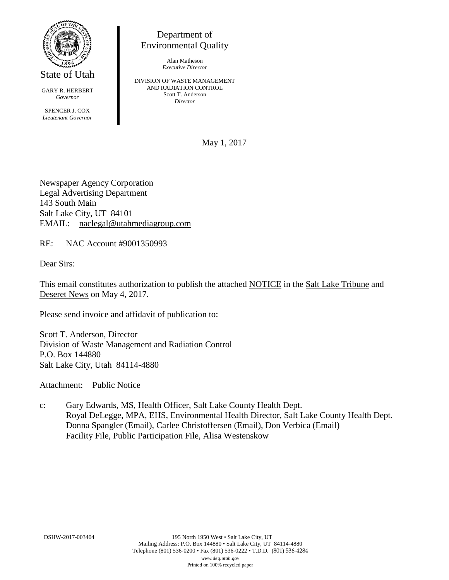

State of Utah

GARY R. HERBERT *Governor* SPENCER J. COX *Lieutenant Governor*

Department of Environmental Quality

> Alan Matheson *Executive Director*

DIVISION OF WASTE MANAGEMENT AND RADIATION CONTROL Scott T. Anderson *Director*

May 1, 2017

Newspaper Agency Corporation Legal Advertising Department 143 South Main Salt Lake City, UT 84101 EMAIL: naclegal@utahmediagroup.com

RE: NAC Account #9001350993

Dear Sirs:

This email constitutes authorization to publish the attached NOTICE in the Salt Lake Tribune and Deseret News on May 4, 2017.

Please send invoice and affidavit of publication to:

Scott T. Anderson, Director Division of Waste Management and Radiation Control P.O. Box 144880 Salt Lake City, Utah 84114-4880

Attachment: Public Notice

c: Gary Edwards, MS, Health Officer, Salt Lake County Health Dept. Royal DeLegge, MPA, EHS, Environmental Health Director, Salt Lake County Health Dept. Donna Spangler (Email), Carlee Christoffersen (Email), Don Verbica (Email) Facility File, Public Participation File, Alisa Westenskow